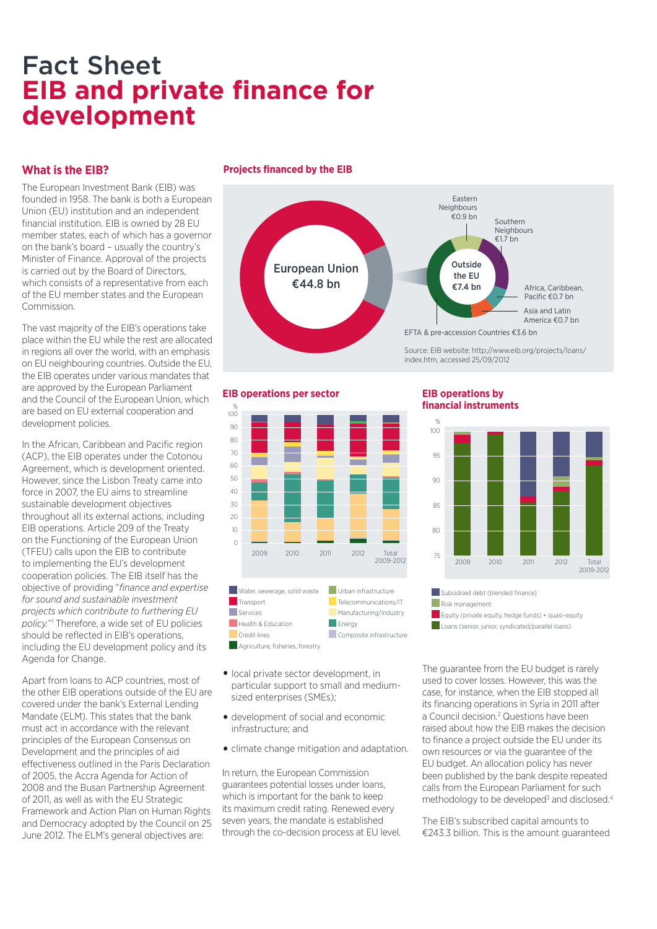# Fact Sheet **EIB and private finance for development**

## **What is the EIB?**

The European Investment Bank (EIB) was founded in 1958. The bank is both a European Union (EU) institution and an independent financial institution. EIB is owned by 28 EU member states, each of which has a governor on the bank's board – usually the country's Minister of Finance. Approval of the projects is carried out by the Board of Directors, which consists of a representative from each of the EU member states and the European Commission.

The vast majority of the EIB's operations take place within the EU while the rest are allocated in regions all over the world, with an emphasis on EU neighbouring countries. Outside the EU, the EIB operates under various mandates that are approved by the European Parliament and the Council of the European Union, which are based on EU external cooperation and development policies.

In the African, Caribbean and Pacific region (ACP), the EIB operates under the Cotonou Agreement, which is development oriented. However, since the Lisbon Treaty came into force in 2007, the EU aims to streamline sustainable development objectives throughout all its external actions, including EIB operations. Article 209 of the Treaty on the Functioning of the European Union (TFEU) calls upon the EIB to contribute to implementing the EU's development cooperation policies. The EIB itself has the objective of providing "*finance and expertise for sound and sustainable investment projects which contribute to furthering EU policy.*"1 Therefore, a wide set of EU policies should be reflected in EIB's operations, including the EU development policy and its Agenda for Change.

Apart from loans to ACP countries, most of the other EIB operations outside of the EU are covered under the bank's External Lending Mandate (ELM). This states that the bank must act in accordance with the relevant principles of the European Consensus on Development and the principles of aid effectiveness outlined in the Paris Declaration of 2005, the Accra Agenda for Action of 2008 and the Busan Partnership Agreement of 2011, as well as with the EU Strategic Framework and Action Plan on Human Rights and Democracy adopted by the Council on 25 June 2012. The ELM's general objectives are:

#### **Projects financed by the EIB**



#### **EIB operations per sector**



- local private sector development, in particular support to small and mediumsized enterprises (SMEs);
- development of social and economic infrastructure; and
- climate change mitigation and adaptation.

In return, the European Commission guarantees potential losses under loans, which is important for the bank to keep its maximum credit rating. Renewed every seven years, the mandate is established through the co-decision process at EU level.

#### **EIB operations by financial instruments**



Subsidised debt (blended finance) Risk management **Equity (private equity, hedge funds) + quasi-equity Loans (senior, junior, syndicated/parallel loans)** 

The guarantee from the EU budget is rarely used to cover losses. However, this was the case, for instance, when the EIB stopped all its financing operations in Syria in 2011 after a Council decision.<sup>2</sup> Questions have been raised about how the EIB makes the decision to finance a project outside the EU under its own resources or via the guarantee of the EU budget. An allocation policy has never been published by the bank despite repeated calls from the European Parliament for such methodology to be developed<sup>3</sup> and disclosed.<sup>4</sup>

The EIB's subscribed capital amounts to €243.3 billion. This is the amount guaranteed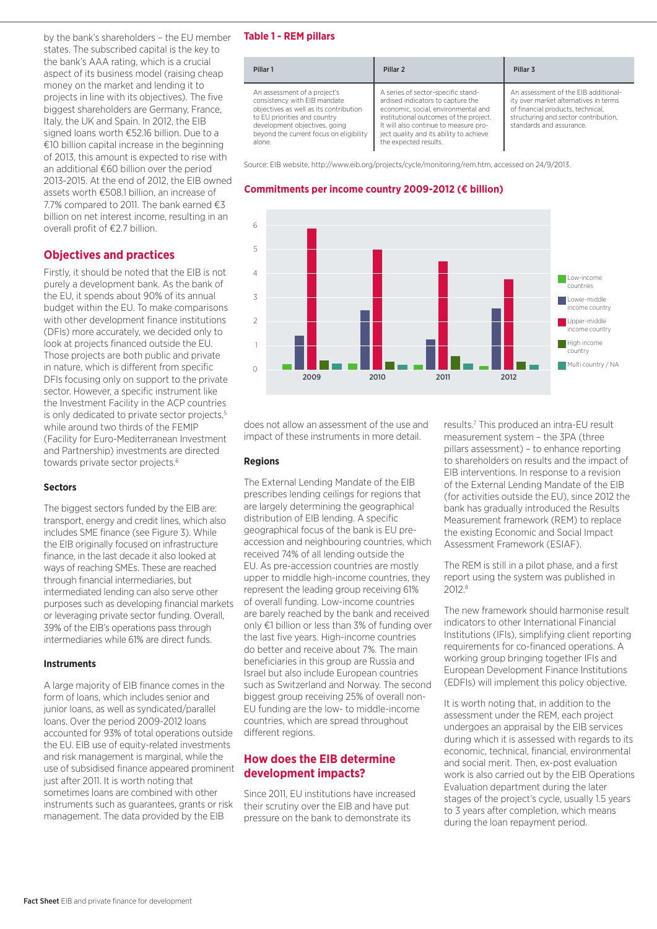by the bank's shareholders – the EU member states. The subscribed capital is the key to the bank's AAA rating, which is a crucial aspect of its business model (raising cheap money on the market and lending it to projects in line with its objectives). The five biggest shareholders are Germany, France, Italy, the UK and Spain. In 2012, the EIB signed loans worth €52.16 billion. Due to a €10 billion capital increase in the beginning of 2013, this amount is expected to rise with an additional €60 billion over the period 2013-2015. At the end of 2012, the EIB owned assets worth €508.1 billion, an increase of 7.7% compared to 2011. The bank earned €3 billion on net interest income, resulting in an overall profit of €2.7 billion.

## **Objectives and practices**

Firstly, it should be noted that the EIB is not purely a development bank. As the bank of the EU, it spends about 90% of its annual budget within the EU. To make comparisons with other development finance institutions (DFIs) more accurately, we decided only to look at projects financed outside the EU. Those projects are both public and private in nature, which is different from specific DFIs focusing only on support to the private sector. However, a specific instrument like the Investment Facility in the ACP countries is only dedicated to private sector projects,<sup>5</sup> while around two thirds of the FEMIP (Facility for Euro-Mediterranean Investment and Partnership) investments are directed towards private sector projects.<sup>6</sup>

#### **Sectors**

The biggest sectors funded by the EIB are: transport, energy and credit lines, which also includes SME finance (see Figure 3). While the EIB originally focused on infrastructure finance, in the last decade it also looked at ways of reaching SMEs. These are reached through financial intermediaries, but intermediated lending can also serve other purposes such as developing financial markets or leveraging private sector funding. Overall, 39% of the EIB's operations pass through intermediaries while 61% are direct funds.

#### **Instruments**

A large majority of EIB finance comes in the form of loans, which includes senior and junior loans, as well as syndicated/parallel loans. Over the period 2009-2012 loans accounted for 93% of total operations outside the EU. EIB use of equity-related investments and risk management is marginal, while the use of subsidised finance appeared prominent just after 2011. It is worth noting that sometimes loans are combined with other instruments such as guarantees, grants or risk management. The data provided by the EIB

#### **Table 1 - REM pillars**

| Pillar 1                                                                                                                                                                                                                     | Pillar <sub>2</sub>                                                                                                                                                                                                                                                   | Pillar <sub>3</sub>                                                                                                                                                                    |
|------------------------------------------------------------------------------------------------------------------------------------------------------------------------------------------------------------------------------|-----------------------------------------------------------------------------------------------------------------------------------------------------------------------------------------------------------------------------------------------------------------------|----------------------------------------------------------------------------------------------------------------------------------------------------------------------------------------|
| An assessment of a project's<br>consistency with EIB mandate<br>objectives as well as its contribution<br>to EU priorities and country<br>development objectives, going<br>beyond the current focus on eligibility<br>alone. | A series of sector-specific stand-<br>ardised indicators to capture the<br>economic, social, environmental and<br>institutional outcomes of the project.<br>It will also continue to measure pro-<br>ject quality and its ability to achieve<br>the expected results. | An assessment of the EIB additional-<br>ity over market alternatives in terms<br>of financial products, technical.<br>structuring and sector contribution.<br>standards and assurance. |

Source: EIB website, http://www.eib.org/projects/cycle/monitoring/rem.htm, accessed on 24/9/2013.

#### **Commitments per income country 2009-2012 (€ billion)**



does not allow an assessment of the use and impact of these instruments in more detail.

#### **Regions**

The External Lending Mandate of the EIB prescribes lending ceilings for regions that are largely determining the geographical distribution of EIB lending. A specific geographical focus of the bank is EU preaccession and neighbouring countries, which received 74% of all lending outside the EU. As pre-accession countries are mostly upper to middle high-income countries, they represent the leading group receiving 61% of overall funding. Low-income countries are barely reached by the bank and received only €1 billion or less than 3% of funding over the last five years. High-income countries do better and receive about 7%. The main beneficiaries in this group are Russia and Israel but also include European countries such as Switzerland and Norway. The second biggest group receiving 25% of overall non-EU funding are the low- to middle-income countries, which are spread throughout different regions.

## **How does the EIB determine development impacts?**

Since 2011, EU institutions have increased their scrutiny over the EIB and have put pressure on the bank to demonstrate its

results.7 This produced an intra-EU result measurement system – the 3PA (three pillars assessment) – to enhance reporting to shareholders on results and the impact of EIB interventions. In response to a revision of the External Lending Mandate of the EIB (for activities outside the EU), since 2012 the bank has gradually introduced the Results Measurement framework (REM) to replace the existing Economic and Social Impact Assessment Framework (ESIAF).

The REM is still in a pilot phase, and a first report using the system was published in 2012.8

The new framework should harmonise result indicators to other International Financial Institutions (IFIs), simplifying client reporting requirements for co-financed operations. A working group bringing together IFIs and European Development Finance Institutions (EDFIs) will implement this policy objective.

It is worth noting that, in addition to the assessment under the REM, each project undergoes an appraisal by the EIB services during which it is assessed with regards to its economic, technical, financial, environmental and social merit. Then, ex-post evaluation work is also carried out by the EIB Operations Evaluation department during the later stages of the project's cycle, usually 1.5 years to 3 years after completion, which means during the loan repayment period.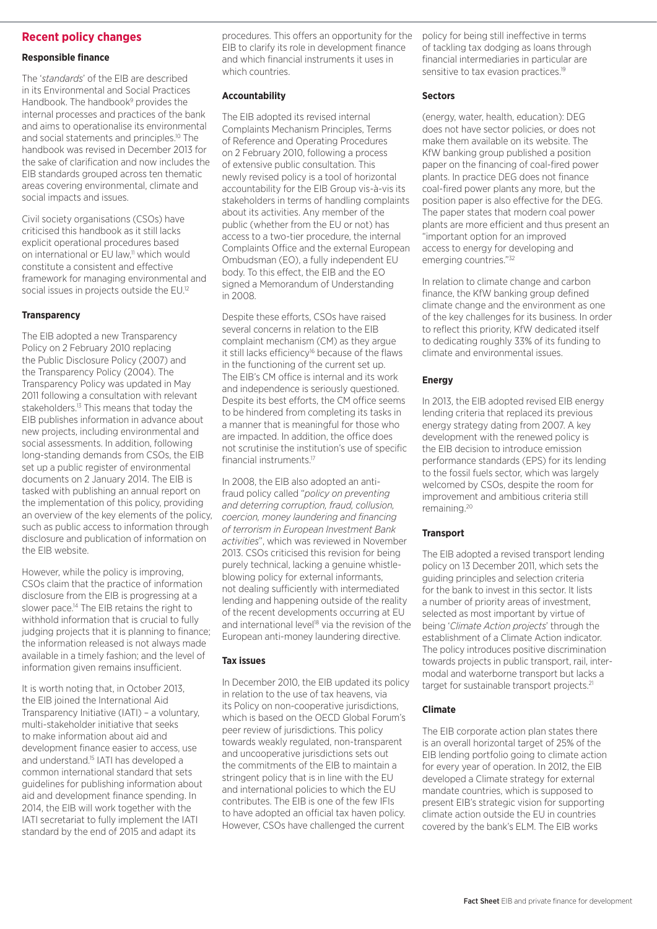#### **Recent policy changes**

#### **Responsible finance**

The '*standards*' of the EIB are described in its Environmental and Social Practices Handbook. The handbook<sup>9</sup> provides the internal processes and practices of the bank and aims to operationalise its environmental and social statements and principles.<sup>10</sup> The handbook was revised in December 2013 for the sake of clarification and now includes the EIB standards grouped across ten thematic areas covering environmental, climate and social impacts and issues.

Civil society organisations (CSOs) have criticised this handbook as it still lacks explicit operational procedures based on international or EU law.<sup>11</sup> which would constitute a consistent and effective framework for managing environmental and social issues in projects outside the EU.<sup>12</sup>

#### **Transparency**

The EIB adopted a new Transparency Policy on 2 February 2010 replacing the Public Disclosure Policy (2007) and the Transparency Policy (2004). The Transparency Policy was updated in May 2011 following a consultation with relevant stakeholders.<sup>13</sup> This means that today the EIB publishes information in advance about new projects, including environmental and social assessments. In addition, following long-standing demands from CSOs, the EIB set up a public register of environmental documents on 2 January 2014. The EIB is tasked with publishing an annual report on the implementation of this policy, providing an overview of the key elements of the policy, such as public access to information through disclosure and publication of information on the EIB website.

However, while the policy is improving, CSOs claim that the practice of information disclosure from the EIB is progressing at a slower pace.<sup>14</sup> The EIB retains the right to withhold information that is crucial to fully judging projects that it is planning to finance; the information released is not always made available in a timely fashion; and the level of information given remains insufficient.

It is worth noting that, in October 2013, the EIB joined the International Aid Transparency Initiative (IATI) – a voluntary, multi-stakeholder initiative that seeks to make information about aid and development finance easier to access, use and understand.15 IATI has developed a common international standard that sets guidelines for publishing information about aid and development finance spending. In 2014, the EIB will work together with the IATI secretariat to fully implement the IATI standard by the end of 2015 and adapt its

procedures. This offers an opportunity for the EIB to clarify its role in development finance and which financial instruments it uses in which countries.

#### **Accountability**

The EIB adopted its revised internal Complaints Mechanism Principles, Terms of Reference and Operating Procedures on 2 February 2010, following a process of extensive public consultation. This newly revised policy is a tool of horizontal accountability for the EIB Group vis-à-vis its stakeholders in terms of handling complaints about its activities. Any member of the public (whether from the EU or not) has access to a two-tier procedure, the internal Complaints Office and the external European Ombudsman (EO), a fully independent EU body. To this effect, the EIB and the EO signed a Memorandum of Understanding in 2008.

Despite these efforts, CSOs have raised several concerns in relation to the EIB complaint mechanism (CM) as they argue it still lacks efficiency<sup>16</sup> because of the flaws in the functioning of the current set up. The EIB's CM office is internal and its work and independence is seriously questioned. Despite its best efforts, the CM office seems to be hindered from completing its tasks in a manner that is meaningful for those who are impacted. In addition, the office does not scrutinise the institution's use of specific financial instruments.17

In 2008, the EIB also adopted an antifraud policy called "*policy on preventing and deterring corruption, fraud, collusion, coercion, money laundering and financing of terrorism in European Investment Bank activities*", which was reviewed in November 2013. CSOs criticised this revision for being purely technical, lacking a genuine whistleblowing policy for external informants, not dealing sufficiently with intermediated lending and happening outside of the reality of the recent developments occurring at EU and international level<sup>18</sup> via the revision of the European anti-money laundering directive.

#### **Tax issues**

In December 2010, the EIB updated its policy in relation to the use of tax heavens, via its Policy on non-cooperative jurisdictions, which is based on the OECD Global Forum's peer review of jurisdictions. This policy towards weakly regulated, non-transparent and uncooperative jurisdictions sets out the commitments of the EIB to maintain a stringent policy that is in line with the EU and international policies to which the EU contributes. The EIB is one of the few IFIs to have adopted an official tax haven policy. However, CSOs have challenged the current

policy for being still ineffective in terms of tackling tax dodging as loans through financial intermediaries in particular are sensitive to tax evasion practices.<sup>19</sup>

#### **Sectors**

(energy, water, health, education): DEG does not have sector policies, or does not make them available on its website. The KfW banking group published a position paper on the financing of coal-fired power plants. In practice DEG does not finance coal-fired power plants any more, but the position paper is also effective for the DEG. The paper states that modern coal power plants are more efficient and thus present an "important option for an improved access to energy for developing and emerging countries."32

In relation to climate change and carbon finance, the KfW banking group defined climate change and the environment as one of the key challenges for its business. In order to reflect this priority, KfW dedicated itself to dedicating roughly 33% of its funding to climate and environmental issues.

#### **Energy**

In 2013, the EIB adopted revised EIB energy lending criteria that replaced its previous energy strategy dating from 2007. A key development with the renewed policy is the EIB decision to introduce emission performance standards (EPS) for its lending to the fossil fuels sector, which was largely welcomed by CSOs, despite the room for improvement and ambitious criteria still remaining.20

#### **Transport**

The EIB adopted a revised transport lending policy on 13 December 2011, which sets the guiding principles and selection criteria for the bank to invest in this sector. It lists a number of priority areas of investment, selected as most important by virtue of being '*Climate Action projects*' through the establishment of a Climate Action indicator. The policy introduces positive discrimination towards projects in public transport, rail, intermodal and waterborne transport but lacks a target for sustainable transport projects.<sup>21</sup>

#### **Climate**

The EIB corporate action plan states there is an overall horizontal target of 25% of the EIB lending portfolio going to climate action for every year of operation. In 2012, the EIB developed a Climate strategy for external mandate countries, which is supposed to present EIB's strategic vision for supporting climate action outside the EU in countries covered by the bank's ELM. The EIB works